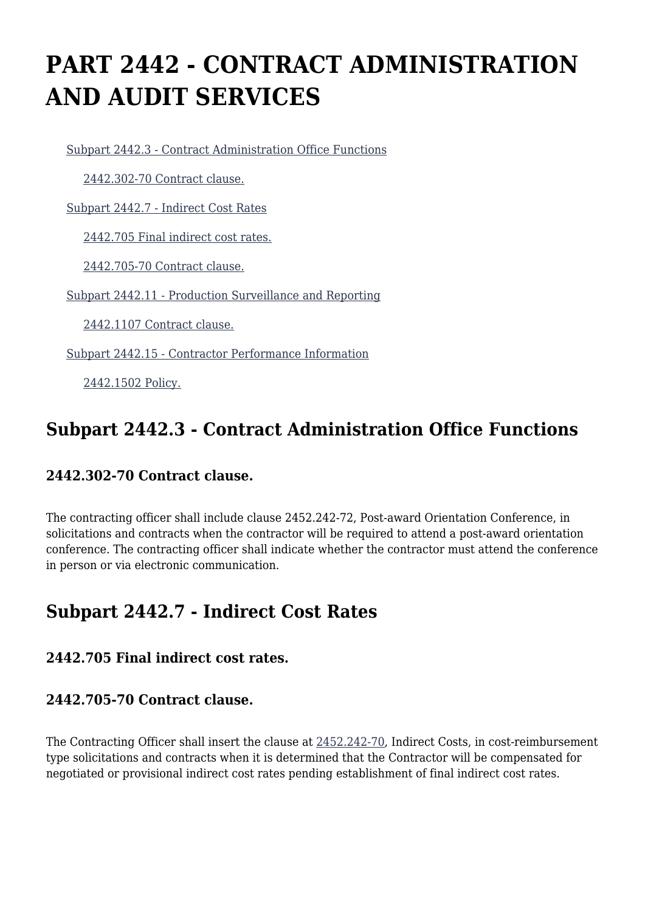# **PART 2442 - CONTRACT ADMINISTRATION AND AUDIT SERVICES**

[Subpart 2442.3 - Contract Administration Office Functions](https://origin-www.acquisition.gov/%5Brp:link:hudar-part-2442%5D#Subpart_2442_3_T48_60954311)

[2442.302-70 Contract clause.](https://origin-www.acquisition.gov/%5Brp:link:hudar-part-2442%5D#Section_2442_302_70_T48_6095431111)

[Subpart 2442.7 - Indirect Cost Rates](https://origin-www.acquisition.gov/%5Brp:link:hudar-part-2442%5D#Subpart_2442_7_T48_60954312)

[2442.705 Final indirect cost rates.](https://origin-www.acquisition.gov/%5Brp:link:hudar-part-2442%5D#Section_2442_705_T48_6095431211)

[2442.705-70 Contract clause.](https://origin-www.acquisition.gov/%5Brp:link:hudar-part-2442%5D#Section_2442_705_70_T48_6095431212)

[Subpart 2442.11 - Production Surveillance and Reporting](https://origin-www.acquisition.gov/%5Brp:link:hudar-part-2442%5D#Subpart_2442_11_T48_60954313)

[2442.1107 Contract clause.](https://origin-www.acquisition.gov/%5Brp:link:hudar-part-2442%5D#Section_2442_1107_T48_6095431311)

[Subpart 2442.15 - Contractor Performance Information](https://origin-www.acquisition.gov/%5Brp:link:hudar-part-2442%5D#Subpart_2442_15_T48_60954314)

[2442.1502 Policy.](https://origin-www.acquisition.gov/%5Brp:link:hudar-part-2442%5D#Section_2442_1502_T48_6095431411)

### **Subpart 2442.3 - Contract Administration Office Functions**

#### **2442.302-70 Contract clause.**

The contracting officer shall include clause 2452.242-72, Post-award Orientation Conference, in solicitations and contracts when the contractor will be required to attend a post-award orientation conference. The contracting officer shall indicate whether the contractor must attend the conference in person or via electronic communication.

## **Subpart 2442.7 - Indirect Cost Rates**

#### **2442.705 Final indirect cost rates.**

#### **2442.705-70 Contract clause.**

The Contracting Officer shall insert the clause at [2452.242-70](https://origin-www.acquisition.gov/%5Brp:link:hudar-part-2452%5D#Section_2452_242_70_T48_60955371145), Indirect Costs, in cost-reimbursement type solicitations and contracts when it is determined that the Contractor will be compensated for negotiated or provisional indirect cost rates pending establishment of final indirect cost rates.